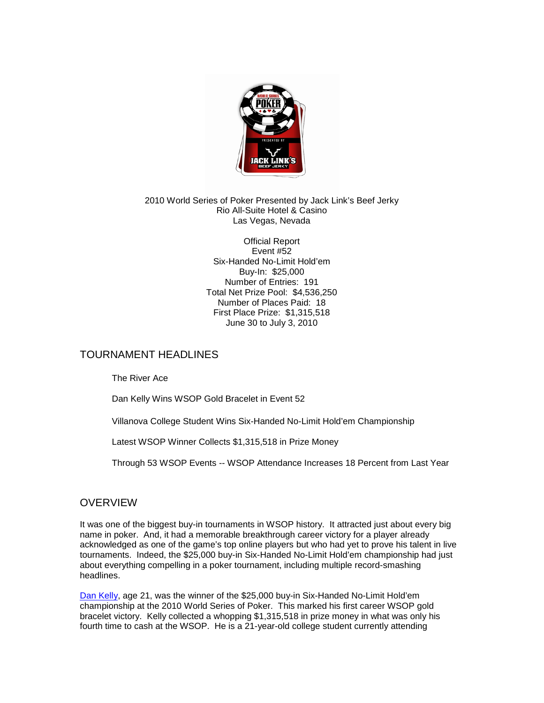

#### 2010 World Series of Poker Presented by Jack Link's Beef Jerky Rio All-Suite Hotel & Casino Las Vegas, Nevada

Official Report Event #52 Six-Handed No-Limit Hold'em Buy-In: \$25,000 Number of Entries: 191 Total Net Prize Pool: \$4,536,250 Number of Places Paid: 18 First Place Prize: \$1,315,518 June 30 to July 3, 2010

# TOURNAMENT HEADLINES

The River Ace

Dan Kelly Wins WSOP Gold Bracelet in Event 52

Villanova College Student Wins Six-Handed No-Limit Hold'em Championship

Latest WSOP Winner Collects \$1,315,518 in Prize Money

Through 53 WSOP Events -- WSOP Attendance Increases 18 Percent from Last Year

# **OVERVIEW**

It was one of the biggest buy-in tournaments in WSOP history. It attracted just about every big name in poker. And, it had a memorable breakthrough career victory for a player already acknowledged as one of the game's top online players but who had yet to prove his talent in live tournaments. Indeed, the \$25,000 buy-in Six-Handed No-Limit Hold'em championship had just about everything compelling in a poker tournament, including multiple record-smashing headlines.

[Dan Kelly,](http://www.wsop.com/players/playerprofile.asp?playerID=84994) age 21, was the winner of the \$25,000 buy-in Six-Handed No-Limit Hold'em championship at the 2010 World Series of Poker. This marked his first career WSOP gold bracelet victory. Kelly collected a whopping \$1,315,518 in prize money in what was only his fourth time to cash at the WSOP. He is a 21-year-old college student currently attending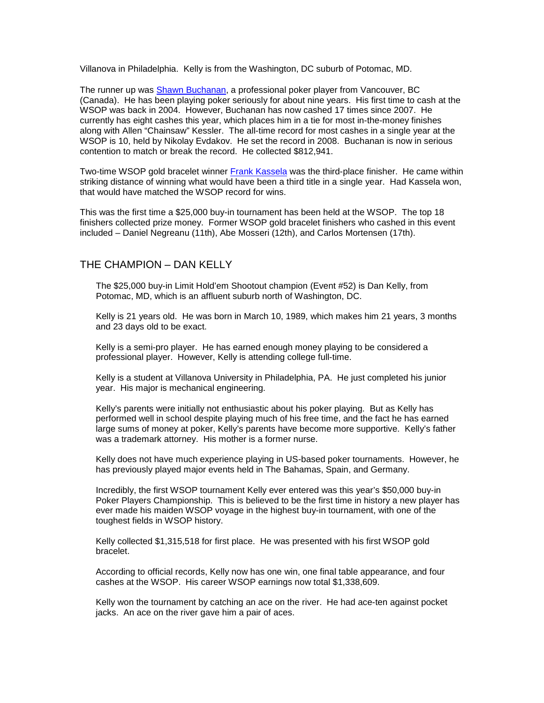Villanova in Philadelphia. Kelly is from the Washington, DC suburb of Potomac, MD.

The runner up was [Shawn Buchanan,](http://www.wsop.com/players/playerprofile.asp?playerID=1393) a professional poker player from Vancouver, BC (Canada). He has been playing poker seriously for about nine years. His first time to cash at the WSOP was back in 2004. However, Buchanan has now cashed 17 times since 2007. He currently has eight cashes this year, which places him in a tie for most in-the-money finishes along with Allen "Chainsaw" Kessler. The all-time record for most cashes in a single year at the WSOP is 10, held by Nikolay Evdakov. He set the record in 2008. Buchanan is now in serious contention to match or break the record. He collected \$812,941.

Two-time WSOP gold bracelet winner [Frank Kassela](http://www.wsop.com/players/playerprofile.asp?playerID=2247) was the third-place finisher. He came within striking distance of winning what would have been a third title in a single year. Had Kassela won, that would have matched the WSOP record for wins.

This was the first time a \$25,000 buy-in tournament has been held at the WSOP. The top 18 finishers collected prize money. Former WSOP gold bracelet finishers who cashed in this event included – Daniel Negreanu (11th), Abe Mosseri (12th), and Carlos Mortensen (17th).

#### THE CHAMPION – DAN KELLY

The \$25,000 buy-in Limit Hold'em Shootout champion (Event #52) is Dan Kelly, from Potomac, MD, which is an affluent suburb north of Washington, DC.

Kelly is 21 years old. He was born in March 10, 1989, which makes him 21 years, 3 months and 23 days old to be exact.

Kelly is a semi-pro player. He has earned enough money playing to be considered a professional player. However, Kelly is attending college full-time.

Kelly is a student at Villanova University in Philadelphia, PA. He just completed his junior year. His major is mechanical engineering.

Kelly's parents were initially not enthusiastic about his poker playing. But as Kelly has performed well in school despite playing much of his free time, and the fact he has earned large sums of money at poker, Kelly's parents have become more supportive. Kelly's father was a trademark attorney. His mother is a former nurse.

Kelly does not have much experience playing in US-based poker tournaments. However, he has previously played major events held in The Bahamas, Spain, and Germany.

Incredibly, the first WSOP tournament Kelly ever entered was this year's \$50,000 buy-in Poker Players Championship. This is believed to be the first time in history a new player has ever made his maiden WSOP voyage in the highest buy-in tournament, with one of the toughest fields in WSOP history.

Kelly collected \$1,315,518 for first place. He was presented with his first WSOP gold bracelet.

According to official records, Kelly now has one win, one final table appearance, and four cashes at the WSOP. His career WSOP earnings now total \$1,338,609.

Kelly won the tournament by catching an ace on the river. He had ace-ten against pocket jacks. An ace on the river gave him a pair of aces.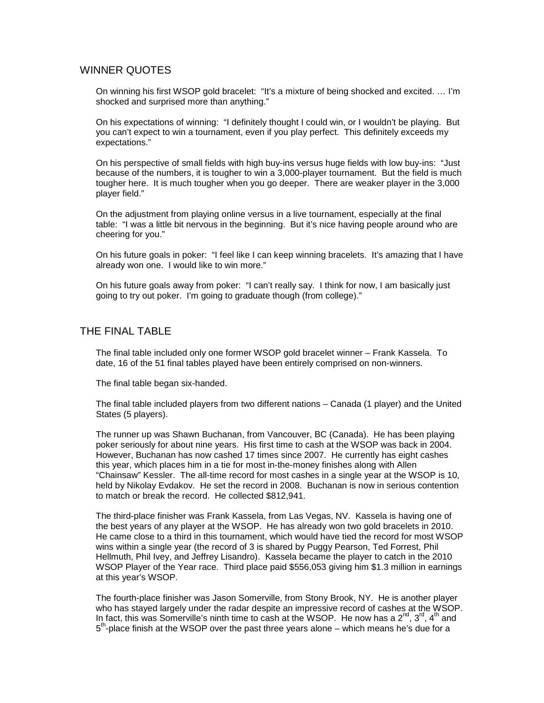# WINNER QUOTES

On winning his first WSOP gold bracelet: "It's a mixture of being shocked and excited. … I'm shocked and surprised more than anything."

On his expectations of winning: "I definitely thought I could win, or I wouldn't be playing. But you can't expect to win a tournament, even if you play perfect. This definitely exceeds my expectations."

On his perspective of small fields with high buy-ins versus huge fields with low buy-ins: "Just because of the numbers, it is tougher to win a 3,000-player tournament. But the field is much tougher here. It is much tougher when you go deeper. There are weaker player in the 3,000 player field."

On the adjustment from playing online versus in a live tournament, especially at the final table: "I was a little bit nervous in the beginning. But it's nice having people around who are cheering for you."

On his future goals in poker: "I feel like I can keep winning bracelets. It's amazing that I have already won one. I would like to win more."

On his future goals away from poker: "I can't really say. I think for now, I am basically just going to try out poker. I'm going to graduate though (from college)."

#### THE FINAL TABLE

The final table included only one former WSOP gold bracelet winner – Frank Kassela. To date, 16 of the 51 final tables played have been entirely comprised on non-winners.

The final table began six-handed.

The final table included players from two different nations – Canada (1 player) and the United States (5 players).

The runner up was Shawn Buchanan, from Vancouver, BC (Canada). He has been playing poker seriously for about nine years. His first time to cash at the WSOP was back in 2004. However, Buchanan has now cashed 17 times since 2007. He currently has eight cashes this year, which places him in a tie for most in-the-money finishes along with Allen "Chainsaw" Kessler. The all-time record for most cashes in a single year at the WSOP is 10, held by Nikolay Evdakov. He set the record in 2008. Buchanan is now in serious contention to match or break the record. He collected \$812,941.

The third-place finisher was Frank Kassela, from Las Vegas, NV. Kassela is having one of the best years of any player at the WSOP. He has already won two gold bracelets in 2010. He came close to a third in this tournament, which would have tied the record for most WSOP wins within a single year (the record of 3 is shared by Puggy Pearson, Ted Forrest, Phil Hellmuth, Phil Ivey, and Jeffrey Lisandro). Kassela became the player to catch in the 2010 WSOP Player of the Year race. Third place paid \$556,053 giving him \$1.3 million in earnings at this year's WSOP.

The fourth-place finisher was Jason Somerville, from Stony Brook, NY. He is another player who has stayed largely under the radar despite an impressive record of cashes at the WSOP. In fact, this was Somerville's ninth time to cash at the WSOP. He now has a  $2^{nd}$ ,  $3^{rd}$ ,  $4^{th}$  and  $5<sup>th</sup>$ -place finish at the WSOP over the past three years alone – which means he's due for a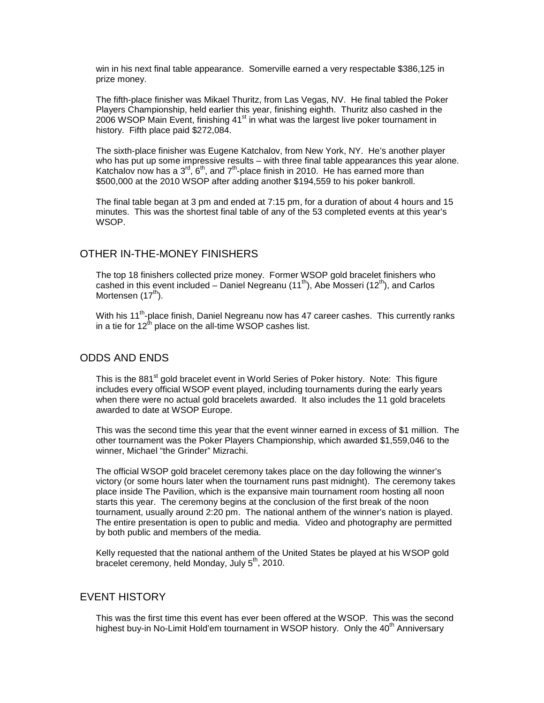win in his next final table appearance. Somerville earned a very respectable \$386,125 in prize money.

The fifth-place finisher was Mikael Thuritz, from Las Vegas, NV. He final tabled the Poker Players Championship, held earlier this year, finishing eighth. Thuritz also cashed in the 2006 WSOP Main Event, finishing  $41<sup>st</sup>$  in what was the largest live poker tournament in history. Fifth place paid \$272,084.

The sixth-place finisher was Eugene Katchalov, from New York, NY. He's another player who has put up some impressive results – with three final table appearances this year alone. Katchalov now has a  $3^{\text{rd}}$ , 6<sup>th</sup>, and 7<sup>th</sup>-place finish in 2010. He has earned more than \$500,000 at the 2010 WSOP after adding another \$194,559 to his poker bankroll.

The final table began at 3 pm and ended at 7:15 pm, for a duration of about 4 hours and 15 minutes. This was the shortest final table of any of the 53 completed events at this year's WSOP.

#### OTHER IN-THE-MONEY FINISHERS

The top 18 finishers collected prize money. Former WSOP gold bracelet finishers who cashed in this event included – Daniel Negreanu (11<sup>th</sup>), Abe Mosseri (12<sup>th</sup>), and Carlos Mortensen (17<sup>th</sup>).

With his 11<sup>th</sup>-place finish, Daniel Negreanu now has 47 career cashes. This currently ranks in a tie for  $12^{th}$  place on the all-time WSOP cashes list.

# ODDS AND ENDS

This is the 881<sup>st</sup> gold bracelet event in World Series of Poker history. Note: This figure includes every official WSOP event played, including tournaments during the early years when there were no actual gold bracelets awarded. It also includes the 11 gold bracelets awarded to date at WSOP Europe.

This was the second time this year that the event winner earned in excess of \$1 million. The other tournament was the Poker Players Championship, which awarded \$1,559,046 to the winner, Michael "the Grinder" Mizrachi.

The official WSOP gold bracelet ceremony takes place on the day following the winner's victory (or some hours later when the tournament runs past midnight). The ceremony takes place inside The Pavilion, which is the expansive main tournament room hosting all noon starts this year. The ceremony begins at the conclusion of the first break of the noon tournament, usually around 2:20 pm. The national anthem of the winner's nation is played. The entire presentation is open to public and media. Video and photography are permitted by both public and members of the media.

Kelly requested that the national anthem of the United States be played at his WSOP gold bracelet ceremony, held Monday, July  $5<sup>th</sup>$ , 2010.

# EVENT HISTORY

This was the first time this event has ever been offered at the WSOP. This was the second highest buy-in No-Limit Hold'em tournament in WSOP history. Only the 40<sup>th</sup> Anniversary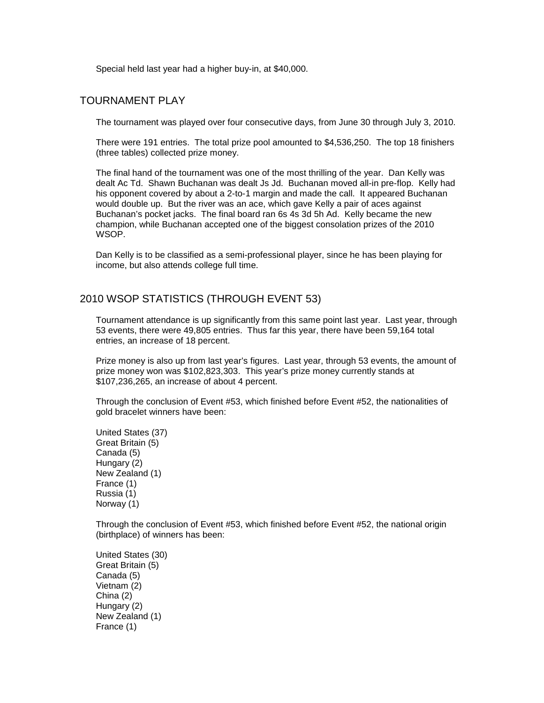Special held last year had a higher buy-in, at \$40,000.

## TOURNAMENT PLAY

The tournament was played over four consecutive days, from June 30 through July 3, 2010.

There were 191 entries. The total prize pool amounted to \$4,536,250. The top 18 finishers (three tables) collected prize money.

The final hand of the tournament was one of the most thrilling of the year. Dan Kelly was dealt Ac Td. Shawn Buchanan was dealt Js Jd. Buchanan moved all-in pre-flop. Kelly had his opponent covered by about a 2-to-1 margin and made the call. It appeared Buchanan would double up. But the river was an ace, which gave Kelly a pair of aces against Buchanan's pocket jacks. The final board ran 6s 4s 3d 5h Ad. Kelly became the new champion, while Buchanan accepted one of the biggest consolation prizes of the 2010 WSOP.

Dan Kelly is to be classified as a semi-professional player, since he has been playing for income, but also attends college full time.

### 2010 WSOP STATISTICS (THROUGH EVENT 53)

Tournament attendance is up significantly from this same point last year. Last year, through 53 events, there were 49,805 entries. Thus far this year, there have been 59,164 total entries, an increase of 18 percent.

Prize money is also up from last year's figures. Last year, through 53 events, the amount of prize money won was \$102,823,303. This year's prize money currently stands at \$107,236,265, an increase of about 4 percent.

Through the conclusion of Event #53, which finished before Event #52, the nationalities of gold bracelet winners have been:

United States (37) Great Britain (5) Canada (5) Hungary (2) New Zealand (1) France (1) Russia (1) Norway (1)

Through the conclusion of Event #53, which finished before Event #52, the national origin (birthplace) of winners has been:

United States (30) Great Britain (5) Canada (5) Vietnam (2) China (2) Hungary (2) New Zealand (1) France (1)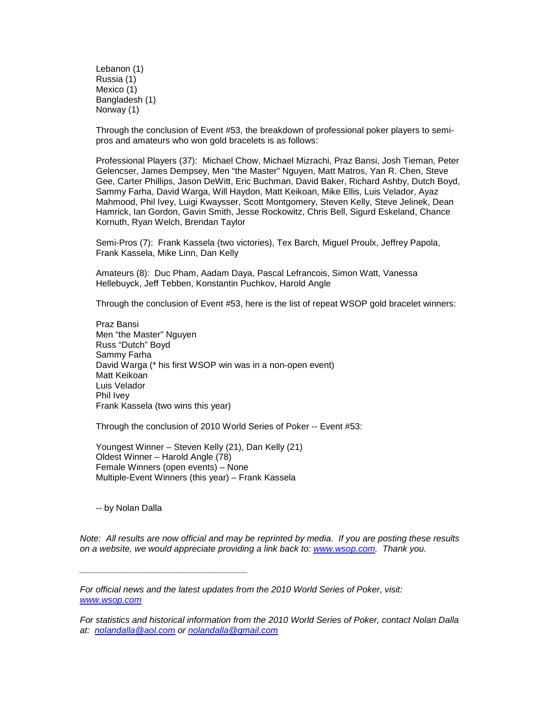Lebanon (1) Russia (1) Mexico (1) Bangladesh (1) Norway (1)

Through the conclusion of Event #53, the breakdown of professional poker players to semipros and amateurs who won gold bracelets is as follows:

Professional Players (37): Michael Chow, Michael Mizrachi, Praz Bansi, Josh Tieman, Peter Gelencser, James Dempsey, Men "the Master" Nguyen, Matt Matros, Yan R. Chen, Steve Gee, Carter Phillips, Jason DeWitt, Eric Buchman, David Baker, Richard Ashby, Dutch Boyd, Sammy Farha, David Warga, Will Haydon, Matt Keikoan, Mike Ellis, Luis Velador, Ayaz Mahmood, Phil Ivey, Luigi Kwaysser, Scott Montgomery, Steven Kelly, Steve Jelinek, Dean Hamrick, Ian Gordon, Gavin Smith, Jesse Rockowitz, Chris Bell, Sigurd Eskeland, Chance Kornuth, Ryan Welch, Brendan Taylor

Semi-Pros (7): Frank Kassela (two victories), Tex Barch, Miguel Proulx, Jeffrey Papola, Frank Kassela, Mike Linn, Dan Kelly

Amateurs (8): Duc Pham, Aadam Daya, Pascal Lefrancois, Simon Watt, Vanessa Hellebuyck, Jeff Tebben, Konstantin Puchkov, Harold Angle

Through the conclusion of Event #53, here is the list of repeat WSOP gold bracelet winners:

Praz Bansi Men "the Master" Nguyen Russ "Dutch" Boyd Sammy Farha David Warga (\* his first WSOP win was in a non-open event) Matt Keikoan Luis Velador Phil Ivey Frank Kassela (two wins this year)

Through the conclusion of 2010 World Series of Poker -- Event #53:

Youngest Winner – Steven Kelly (21), Dan Kelly (21) Oldest Winner – Harold Angle (78) Female Winners (open events) – None Multiple-Event Winners (this year) – Frank Kassela

-- by Nolan Dalla

*\_\_\_\_\_\_\_\_\_\_\_\_\_\_\_\_\_\_\_\_\_\_\_\_\_\_\_\_\_\_\_\_\_\_*

*Note: All results are now official and may be reprinted by media. If you are posting these results on a website, we would appreciate providing a link back to: www.wsop.com. Thank you.*

*For official news and the latest updates from the 2010 World Series of Poker, visit: www.wsop.com*

*For statistics and historical information from the 2010 World Series of Poker, contact Nolan Dalla at: nolandalla@aol.com or nolandalla@gmail.com*